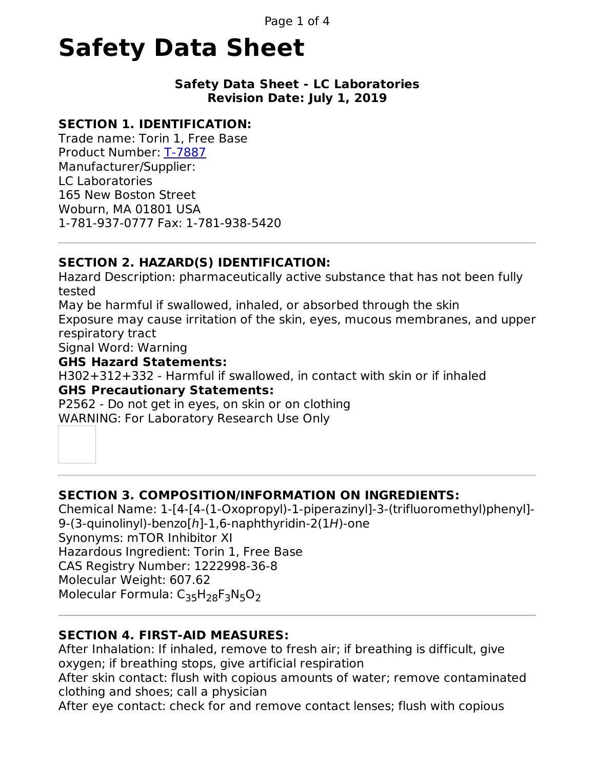# **Safety Data Sheet**

#### **Safety Data Sheet - LC Laboratories Revision Date: July 1, 2019**

# **SECTION 1. IDENTIFICATION:**

Trade name: Torin 1, Free Base Product Number: [T-7887](../../../PRODFILE/S-Z/T-7887.php4) Manufacturer/Supplier: LC Laboratories 165 New Boston Street Woburn, MA 01801 USA 1-781-937-0777 Fax: 1-781-938-5420

# **SECTION 2. HAZARD(S) IDENTIFICATION:**

Hazard Description: pharmaceutically active substance that has not been fully tested May be harmful if swallowed, inhaled, or absorbed through the skin

Exposure may cause irritation of the skin, eyes, mucous membranes, and upper respiratory tract

Signal Word: Warning

## **GHS Hazard Statements:**

H302+312+332 - Harmful if swallowed, in contact with skin or if inhaled **GHS Precautionary Statements:**

P2562 - Do not get in eyes, on skin or on clothing WARNING: For Laboratory Research Use Only

# **SECTION 3. COMPOSITION/INFORMATION ON INGREDIENTS:**

Chemical Name: 1-[4-[4-(1-Oxopropyl)-1-piperazinyl]-3-(trifluoromethyl)phenyl]- 9-(3-quinolinyl)-benzo[h]-1,6-naphthyridin-2(1H)-one Synonyms: mTOR Inhibitor XI Hazardous Ingredient: Torin 1, Free Base CAS Registry Number: 1222998-36-8 Molecular Weight: 607.62 Molecular Formula: C<sub>35</sub>H<sub>28</sub>F<sub>3</sub>N<sub>5</sub>O<sub>2</sub>

# **SECTION 4. FIRST-AID MEASURES:**

After Inhalation: If inhaled, remove to fresh air; if breathing is difficult, give oxygen; if breathing stops, give artificial respiration After skin contact: flush with copious amounts of water; remove contaminated clothing and shoes; call a physician After eye contact: check for and remove contact lenses; flush with copious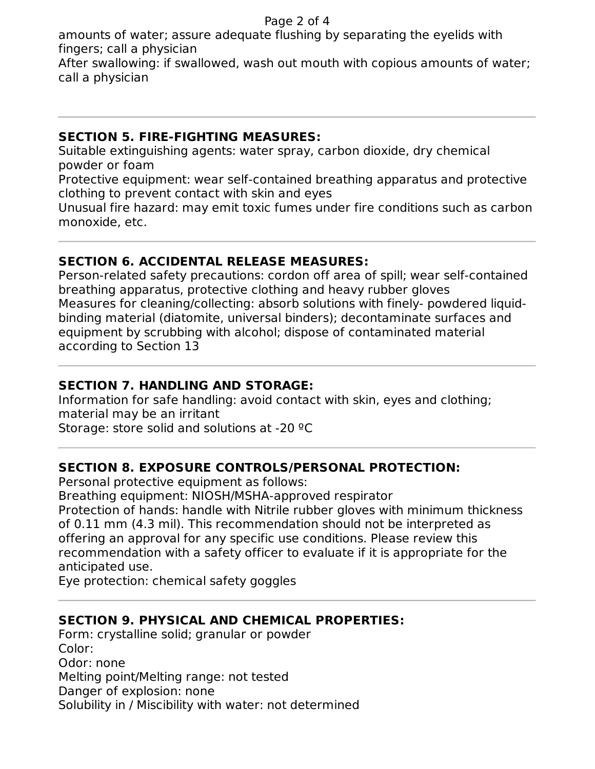amounts of water; assure adequate flushing by separating the eyelids with fingers; call a physician

After swallowing: if swallowed, wash out mouth with copious amounts of water; call a physician

## **SECTION 5. FIRE-FIGHTING MEASURES:**

Suitable extinguishing agents: water spray, carbon dioxide, dry chemical powder or foam

Protective equipment: wear self-contained breathing apparatus and protective clothing to prevent contact with skin and eyes

Unusual fire hazard: may emit toxic fumes under fire conditions such as carbon monoxide, etc.

## **SECTION 6. ACCIDENTAL RELEASE MEASURES:**

Person-related safety precautions: cordon off area of spill; wear self-contained breathing apparatus, protective clothing and heavy rubber gloves Measures for cleaning/collecting: absorb solutions with finely- powdered liquidbinding material (diatomite, universal binders); decontaminate surfaces and equipment by scrubbing with alcohol; dispose of contaminated material according to Section 13

## **SECTION 7. HANDLING AND STORAGE:**

Information for safe handling: avoid contact with skin, eyes and clothing; material may be an irritant Storage: store solid and solutions at -20 ºC

## **SECTION 8. EXPOSURE CONTROLS/PERSONAL PROTECTION:**

Personal protective equipment as follows:

Breathing equipment: NIOSH/MSHA-approved respirator

Protection of hands: handle with Nitrile rubber gloves with minimum thickness of 0.11 mm (4.3 mil). This recommendation should not be interpreted as offering an approval for any specific use conditions. Please review this recommendation with a safety officer to evaluate if it is appropriate for the anticipated use.

Eye protection: chemical safety goggles

# **SECTION 9. PHYSICAL AND CHEMICAL PROPERTIES:**

Form: crystalline solid; granular or powder Color: Odor: none Melting point/Melting range: not tested Danger of explosion: none Solubility in / Miscibility with water: not determined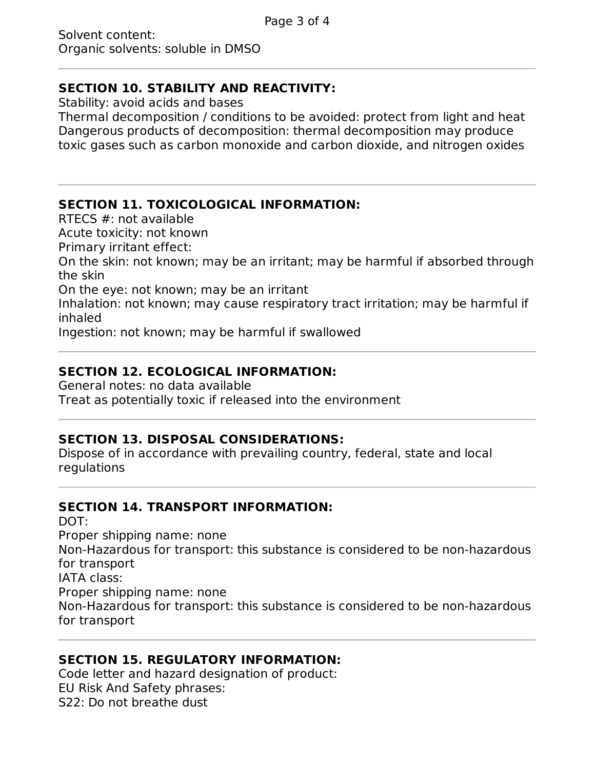#### **SECTION 10. STABILITY AND REACTIVITY:**

Stability: avoid acids and bases

Thermal decomposition / conditions to be avoided: protect from light and heat Dangerous products of decomposition: thermal decomposition may produce toxic gases such as carbon monoxide and carbon dioxide, and nitrogen oxides

## **SECTION 11. TOXICOLOGICAL INFORMATION:**

RTECS #: not available

Acute toxicity: not known

Primary irritant effect:

On the skin: not known; may be an irritant; may be harmful if absorbed through the skin

On the eye: not known; may be an irritant

Inhalation: not known; may cause respiratory tract irritation; may be harmful if inhaled

Ingestion: not known; may be harmful if swallowed

## **SECTION 12. ECOLOGICAL INFORMATION:**

General notes: no data available Treat as potentially toxic if released into the environment

## **SECTION 13. DISPOSAL CONSIDERATIONS:**

Dispose of in accordance with prevailing country, federal, state and local regulations

## **SECTION 14. TRANSPORT INFORMATION:**

DOT:

Proper shipping name: none

Non-Hazardous for transport: this substance is considered to be non-hazardous for transport

IATA class:

Proper shipping name: none

Non-Hazardous for transport: this substance is considered to be non-hazardous for transport

## **SECTION 15. REGULATORY INFORMATION:**

Code letter and hazard designation of product: EU Risk And Safety phrases: S22: Do not breathe dust